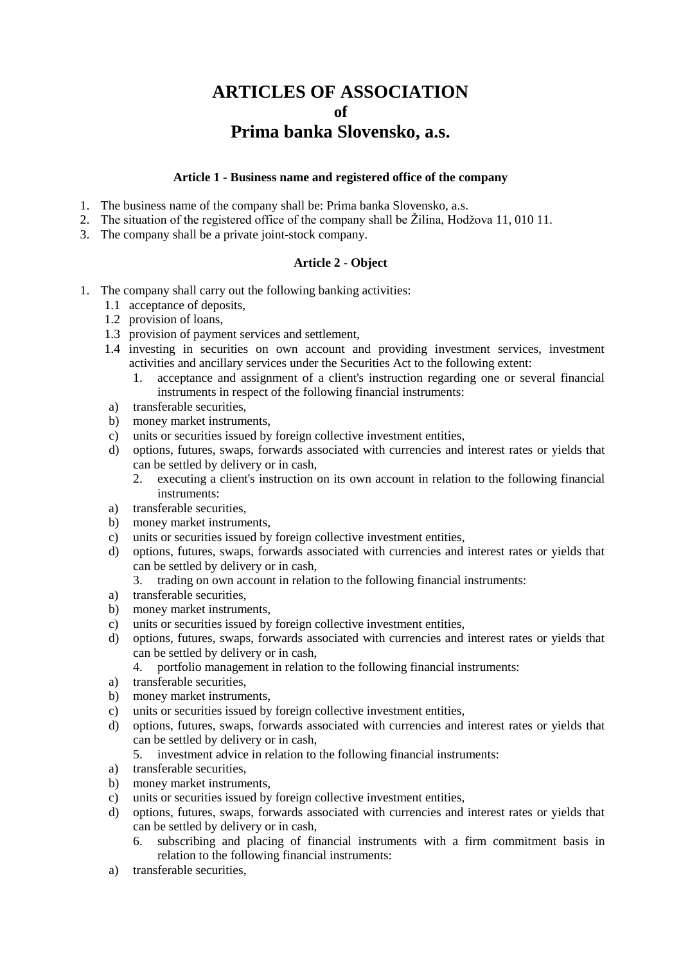# **ARTICLES OF ASSOCIATION of Prima banka Slovensko, a.s.**

#### **Article 1 - Business name and registered office of the company**

- 1. The business name of the company shall be: Prima banka Slovensko, a.s.
- 2. The situation of the registered office of the company shall be Žilina, Hodžova 11, 010 11.
- 3. The company shall be a private joint-stock company.

#### **Article 2 - Object**

- 1. The company shall carry out the following banking activities:
	- 1.1 acceptance of deposits,
	- 1.2 provision of loans,
	- 1.3 provision of payment services and settlement,
	- 1.4 investing in securities on own account and providing investment services, investment activities and ancillary services under the Securities Act to the following extent:
		- 1. acceptance and assignment of a client's instruction regarding one or several financial instruments in respect of the following financial instruments:
	- a) transferable securities,
	- b) money market instruments,
	- c) units or securities issued by foreign collective investment entities,
	- d) options, futures, swaps, forwards associated with currencies and interest rates or yields that can be settled by delivery or in cash,
		- 2. executing a client's instruction on its own account in relation to the following financial instruments:
	- a) transferable securities,
	- b) money market instruments,
	- c) units or securities issued by foreign collective investment entities,
	- d) options, futures, swaps, forwards associated with currencies and interest rates or yields that can be settled by delivery or in cash,
		- 3. trading on own account in relation to the following financial instruments:
	- a) transferable securities,
	- b) money market instruments,
	- c) units or securities issued by foreign collective investment entities,
	- d) options, futures, swaps, forwards associated with currencies and interest rates or yields that can be settled by delivery or in cash,
		- 4. portfolio management in relation to the following financial instruments:
	- a) transferable securities,
	- b) money market instruments,
	- c) units or securities issued by foreign collective investment entities,
	- d) options, futures, swaps, forwards associated with currencies and interest rates or yields that can be settled by delivery or in cash,
		- 5. investment advice in relation to the following financial instruments:
	- a) transferable securities,
	- b) money market instruments,
	- c) units or securities issued by foreign collective investment entities,
	- d) options, futures, swaps, forwards associated with currencies and interest rates or yields that can be settled by delivery or in cash,
		- 6. subscribing and placing of financial instruments with a firm commitment basis in relation to the following financial instruments:
	- a) transferable securities,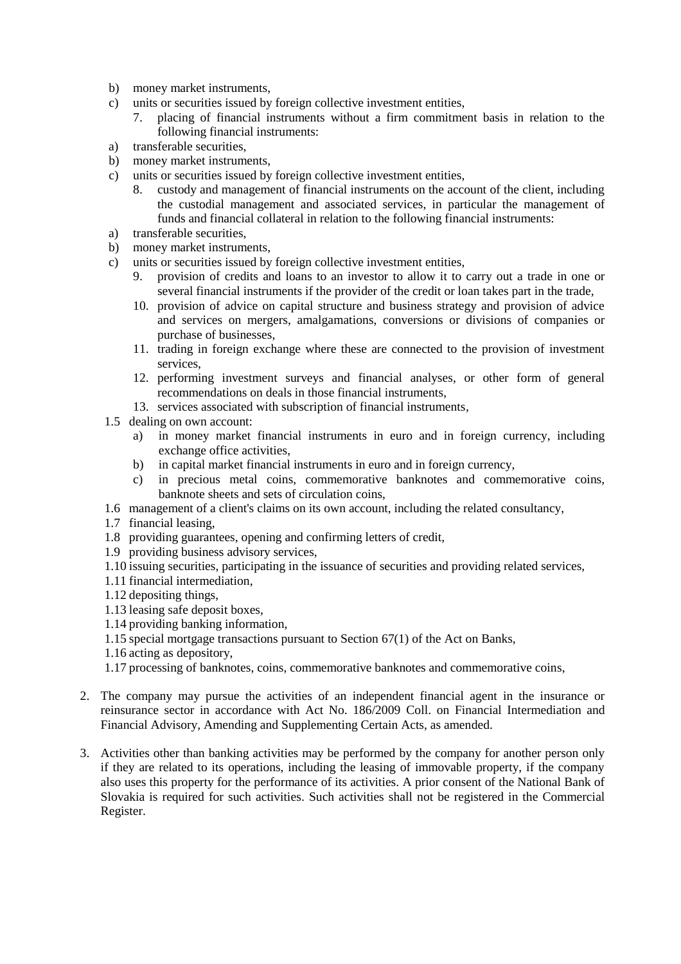- b) money market instruments,
- c) units or securities issued by foreign collective investment entities,
	- 7. placing of financial instruments without a firm commitment basis in relation to the following financial instruments:
- a) transferable securities,
- b) money market instruments,
- c) units or securities issued by foreign collective investment entities,
	- 8. custody and management of financial instruments on the account of the client, including the custodial management and associated services, in particular the management of funds and financial collateral in relation to the following financial instruments:
- a) transferable securities,
- b) money market instruments,
- c) units or securities issued by foreign collective investment entities,
	- 9. provision of credits and loans to an investor to allow it to carry out a trade in one or several financial instruments if the provider of the credit or loan takes part in the trade,
	- 10. provision of advice on capital structure and business strategy and provision of advice and services on mergers, amalgamations, conversions or divisions of companies or purchase of businesses,
	- 11. trading in foreign exchange where these are connected to the provision of investment services,
	- 12. performing investment surveys and financial analyses, or other form of general recommendations on deals in those financial instruments,
	- 13. services associated with subscription of financial instruments,
- 1.5 dealing on own account:
	- a) in money market financial instruments in euro and in foreign currency, including exchange office activities,
	- b) in capital market financial instruments in euro and in foreign currency,
	- c) in precious metal coins, commemorative banknotes and commemorative coins, banknote sheets and sets of circulation coins,
- 1.6 management of a client's claims on its own account, including the related consultancy,
- 1.7 financial leasing,
- 1.8 providing guarantees, opening and confirming letters of credit,
- 1.9 providing business advisory services,
- 1.10 issuing securities, participating in the issuance of securities and providing related services,
- 1.11 financial intermediation,
- 1.12 depositing things,
- 1.13 leasing safe deposit boxes,
- 1.14 providing banking information,
- 1.15 special mortgage transactions pursuant to Section 67(1) of the Act on Banks,
- 1.16 acting as depository,
- 1.17 processing of banknotes, coins, commemorative banknotes and commemorative coins,
- 2. The company may pursue the activities of an independent financial agent in the insurance or reinsurance sector in accordance with Act No. 186/2009 Coll. on Financial Intermediation and Financial Advisory, Amending and Supplementing Certain Acts, as amended.
- 3. Activities other than banking activities may be performed by the company for another person only if they are related to its operations, including the leasing of immovable property, if the company also uses this property for the performance of its activities. A prior consent of the National Bank of Slovakia is required for such activities. Such activities shall not be registered in the Commercial Register.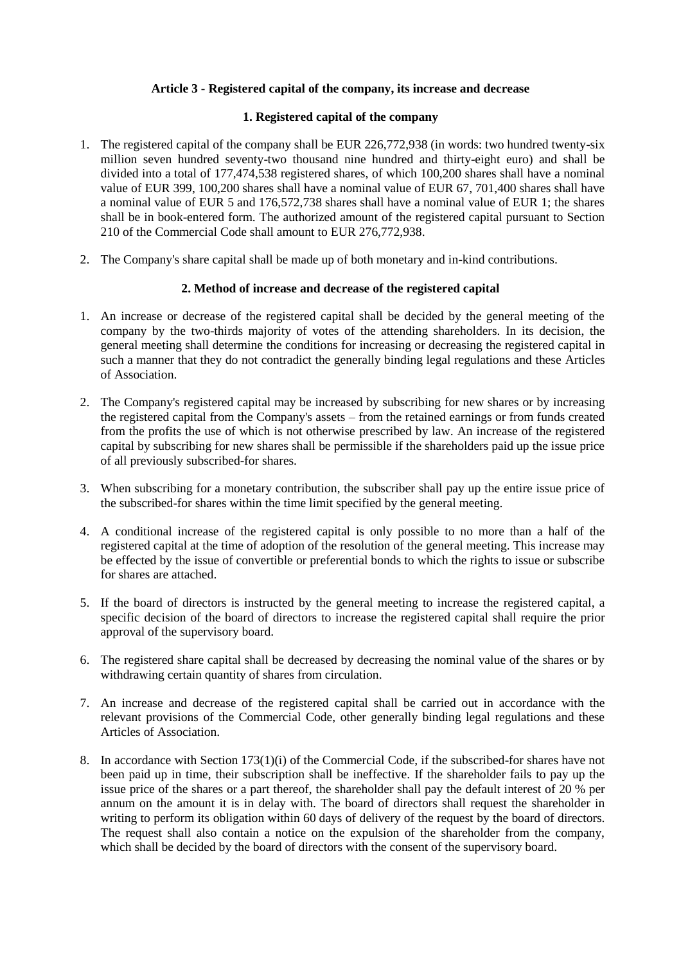## **Article 3 - Registered capital of the company, its increase and decrease**

## **1. Registered capital of the company**

- 1. The registered capital of the company shall be EUR 226,772,938 (in words: two hundred twenty-six million seven hundred seventy-two thousand nine hundred and thirty-eight euro) and shall be divided into a total of 177,474,538 registered shares, of which 100,200 shares shall have a nominal value of EUR 399, 100,200 shares shall have a nominal value of EUR 67, 701,400 shares shall have a nominal value of EUR 5 and 176,572,738 shares shall have a nominal value of EUR 1; the shares shall be in book-entered form. The authorized amount of the registered capital pursuant to Section 210 of the Commercial Code shall amount to EUR 276,772,938.
- 2. The Company's share capital shall be made up of both monetary and in-kind contributions.

#### **2. Method of increase and decrease of the registered capital**

- 1. An increase or decrease of the registered capital shall be decided by the general meeting of the company by the two-thirds majority of votes of the attending shareholders. In its decision, the general meeting shall determine the conditions for increasing or decreasing the registered capital in such a manner that they do not contradict the generally binding legal regulations and these Articles of Association.
- 2. The Company's registered capital may be increased by subscribing for new shares or by increasing the registered capital from the Company's assets – from the retained earnings or from funds created from the profits the use of which is not otherwise prescribed by law. An increase of the registered capital by subscribing for new shares shall be permissible if the shareholders paid up the issue price of all previously subscribed-for shares.
- 3. When subscribing for a monetary contribution, the subscriber shall pay up the entire issue price of the subscribed-for shares within the time limit specified by the general meeting.
- 4. A conditional increase of the registered capital is only possible to no more than a half of the registered capital at the time of adoption of the resolution of the general meeting. This increase may be effected by the issue of convertible or preferential bonds to which the rights to issue or subscribe for shares are attached.
- 5. If the board of directors is instructed by the general meeting to increase the registered capital, a specific decision of the board of directors to increase the registered capital shall require the prior approval of the supervisory board.
- 6. The registered share capital shall be decreased by decreasing the nominal value of the shares or by withdrawing certain quantity of shares from circulation.
- 7. An increase and decrease of the registered capital shall be carried out in accordance with the relevant provisions of the Commercial Code, other generally binding legal regulations and these Articles of Association.
- 8. In accordance with Section 173(1)(i) of the Commercial Code, if the subscribed-for shares have not been paid up in time, their subscription shall be ineffective. If the shareholder fails to pay up the issue price of the shares or a part thereof, the shareholder shall pay the default interest of 20 % per annum on the amount it is in delay with. The board of directors shall request the shareholder in writing to perform its obligation within 60 days of delivery of the request by the board of directors. The request shall also contain a notice on the expulsion of the shareholder from the company, which shall be decided by the board of directors with the consent of the supervisory board.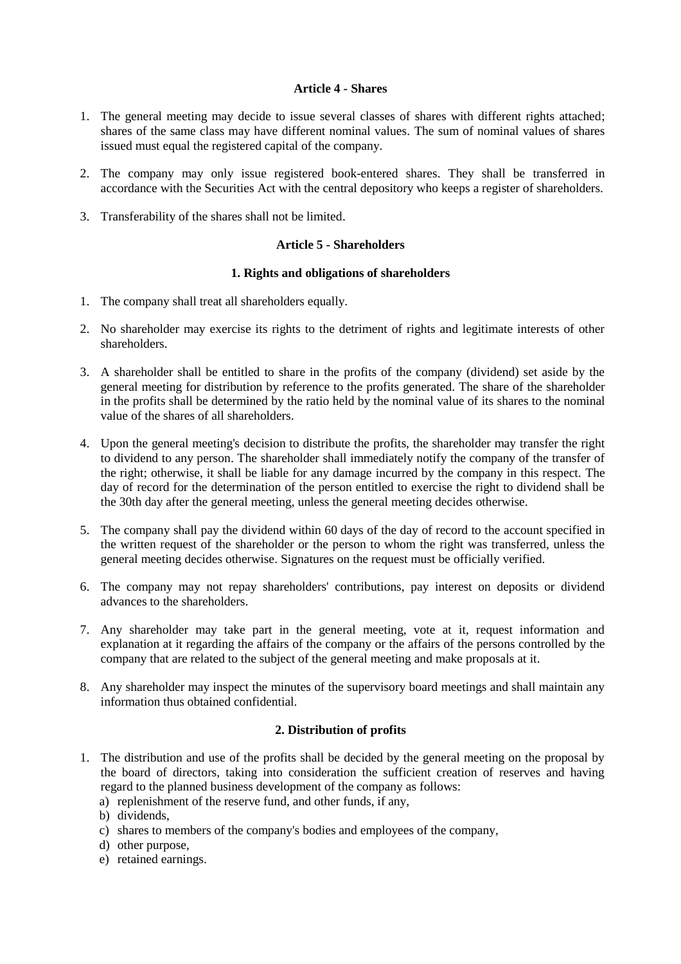## **Article 4 - Shares**

- 1. The general meeting may decide to issue several classes of shares with different rights attached; shares of the same class may have different nominal values. The sum of nominal values of shares issued must equal the registered capital of the company.
- 2. The company may only issue registered book-entered shares. They shall be transferred in accordance with the Securities Act with the central depository who keeps a register of shareholders.
- 3. Transferability of the shares shall not be limited.

## **Article 5 - Shareholders**

#### **1. Rights and obligations of shareholders**

- 1. The company shall treat all shareholders equally.
- 2. No shareholder may exercise its rights to the detriment of rights and legitimate interests of other shareholders.
- 3. A shareholder shall be entitled to share in the profits of the company (dividend) set aside by the general meeting for distribution by reference to the profits generated. The share of the shareholder in the profits shall be determined by the ratio held by the nominal value of its shares to the nominal value of the shares of all shareholders.
- 4. Upon the general meeting's decision to distribute the profits, the shareholder may transfer the right to dividend to any person. The shareholder shall immediately notify the company of the transfer of the right; otherwise, it shall be liable for any damage incurred by the company in this respect. The day of record for the determination of the person entitled to exercise the right to dividend shall be the 30th day after the general meeting, unless the general meeting decides otherwise.
- 5. The company shall pay the dividend within 60 days of the day of record to the account specified in the written request of the shareholder or the person to whom the right was transferred, unless the general meeting decides otherwise. Signatures on the request must be officially verified.
- 6. The company may not repay shareholders' contributions, pay interest on deposits or dividend advances to the shareholders.
- 7. Any shareholder may take part in the general meeting, vote at it, request information and explanation at it regarding the affairs of the company or the affairs of the persons controlled by the company that are related to the subject of the general meeting and make proposals at it.
- 8. Any shareholder may inspect the minutes of the supervisory board meetings and shall maintain any information thus obtained confidential.

#### **2. Distribution of profits**

- 1. The distribution and use of the profits shall be decided by the general meeting on the proposal by the board of directors, taking into consideration the sufficient creation of reserves and having regard to the planned business development of the company as follows:
	- a) replenishment of the reserve fund, and other funds, if any,
	- b) dividends,
	- c) shares to members of the company's bodies and employees of the company,
	- d) other purpose,
	- e) retained earnings.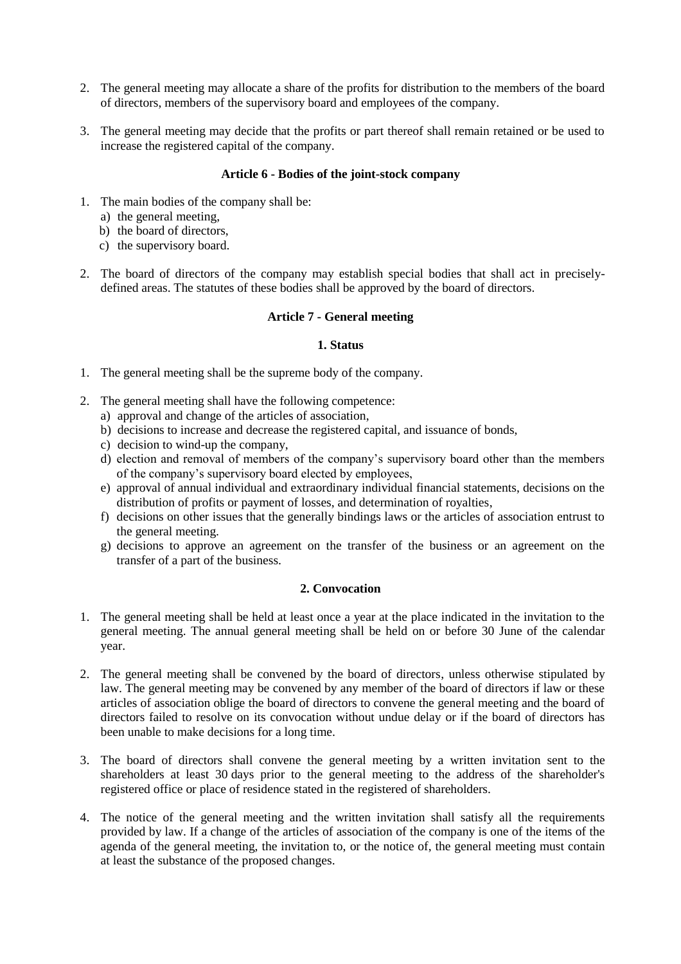- 2. The general meeting may allocate a share of the profits for distribution to the members of the board of directors, members of the supervisory board and employees of the company.
- 3. The general meeting may decide that the profits or part thereof shall remain retained or be used to increase the registered capital of the company.

#### **Article 6 - Bodies of the joint-stock company**

- 1. The main bodies of the company shall be:
	- a) the general meeting,
	- b) the board of directors,
	- c) the supervisory board.
- 2. The board of directors of the company may establish special bodies that shall act in preciselydefined areas. The statutes of these bodies shall be approved by the board of directors.

#### **Article 7 - General meeting**

#### **1. Status**

- 1. The general meeting shall be the supreme body of the company.
- 2. The general meeting shall have the following competence:
	- a) approval and change of the articles of association,
	- b) decisions to increase and decrease the registered capital, and issuance of bonds,
	- c) decision to wind-up the company,
	- d) election and removal of members of the company's supervisory board other than the members of the company's supervisory board elected by employees,
	- e) approval of annual individual and extraordinary individual financial statements, decisions on the distribution of profits or payment of losses, and determination of royalties,
	- f) decisions on other issues that the generally bindings laws or the articles of association entrust to the general meeting.
	- g) decisions to approve an agreement on the transfer of the business or an agreement on the transfer of a part of the business.

#### **2. Convocation**

- 1. The general meeting shall be held at least once a year at the place indicated in the invitation to the general meeting. The annual general meeting shall be held on or before 30 June of the calendar year.
- 2. The general meeting shall be convened by the board of directors, unless otherwise stipulated by law. The general meeting may be convened by any member of the board of directors if law or these articles of association oblige the board of directors to convene the general meeting and the board of directors failed to resolve on its convocation without undue delay or if the board of directors has been unable to make decisions for a long time.
- 3. The board of directors shall convene the general meeting by a written invitation sent to the shareholders at least 30 days prior to the general meeting to the address of the shareholder's registered office or place of residence stated in the registered of shareholders.
- 4. The notice of the general meeting and the written invitation shall satisfy all the requirements provided by law. If a change of the articles of association of the company is one of the items of the agenda of the general meeting, the invitation to, or the notice of, the general meeting must contain at least the substance of the proposed changes.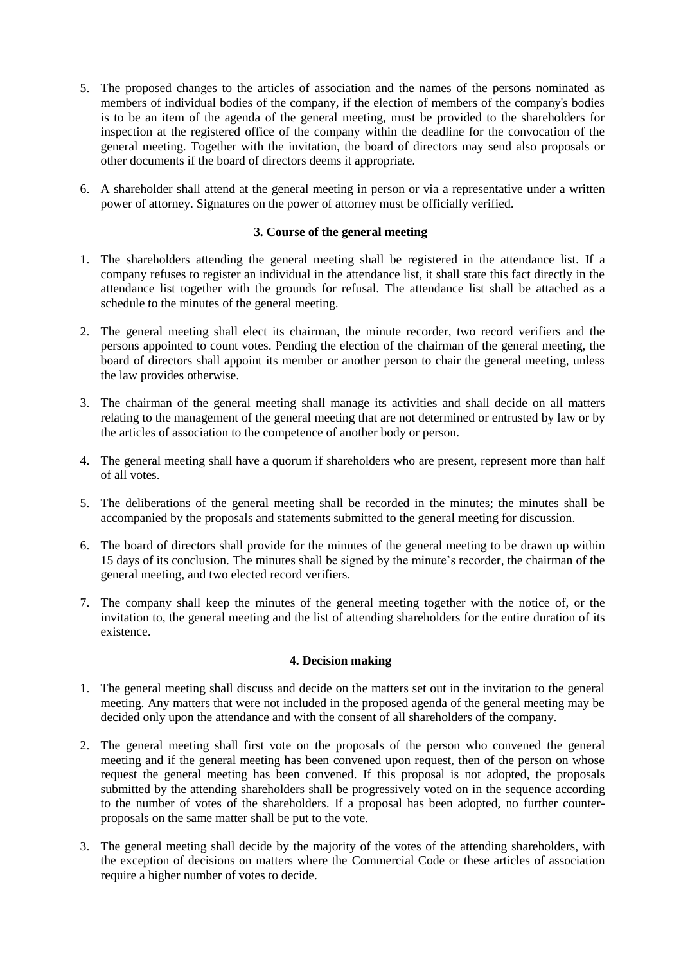- 5. The proposed changes to the articles of association and the names of the persons nominated as members of individual bodies of the company, if the election of members of the company's bodies is to be an item of the agenda of the general meeting, must be provided to the shareholders for inspection at the registered office of the company within the deadline for the convocation of the general meeting. Together with the invitation, the board of directors may send also proposals or other documents if the board of directors deems it appropriate.
- 6. A shareholder shall attend at the general meeting in person or via a representative under a written power of attorney. Signatures on the power of attorney must be officially verified.

#### **3. Course of the general meeting**

- 1. The shareholders attending the general meeting shall be registered in the attendance list. If a company refuses to register an individual in the attendance list, it shall state this fact directly in the attendance list together with the grounds for refusal. The attendance list shall be attached as a schedule to the minutes of the general meeting.
- 2. The general meeting shall elect its chairman, the minute recorder, two record verifiers and the persons appointed to count votes. Pending the election of the chairman of the general meeting, the board of directors shall appoint its member or another person to chair the general meeting, unless the law provides otherwise.
- 3. The chairman of the general meeting shall manage its activities and shall decide on all matters relating to the management of the general meeting that are not determined or entrusted by law or by the articles of association to the competence of another body or person.
- 4. The general meeting shall have a quorum if shareholders who are present, represent more than half of all votes.
- 5. The deliberations of the general meeting shall be recorded in the minutes; the minutes shall be accompanied by the proposals and statements submitted to the general meeting for discussion.
- 6. The board of directors shall provide for the minutes of the general meeting to be drawn up within 15 days of its conclusion. The minutes shall be signed by the minute's recorder, the chairman of the general meeting, and two elected record verifiers.
- 7. The company shall keep the minutes of the general meeting together with the notice of, or the invitation to, the general meeting and the list of attending shareholders for the entire duration of its existence.

#### **4. Decision making**

- 1. The general meeting shall discuss and decide on the matters set out in the invitation to the general meeting. Any matters that were not included in the proposed agenda of the general meeting may be decided only upon the attendance and with the consent of all shareholders of the company.
- 2. The general meeting shall first vote on the proposals of the person who convened the general meeting and if the general meeting has been convened upon request, then of the person on whose request the general meeting has been convened. If this proposal is not adopted, the proposals submitted by the attending shareholders shall be progressively voted on in the sequence according to the number of votes of the shareholders. If a proposal has been adopted, no further counterproposals on the same matter shall be put to the vote.
- 3. The general meeting shall decide by the majority of the votes of the attending shareholders, with the exception of decisions on matters where the Commercial Code or these articles of association require a higher number of votes to decide.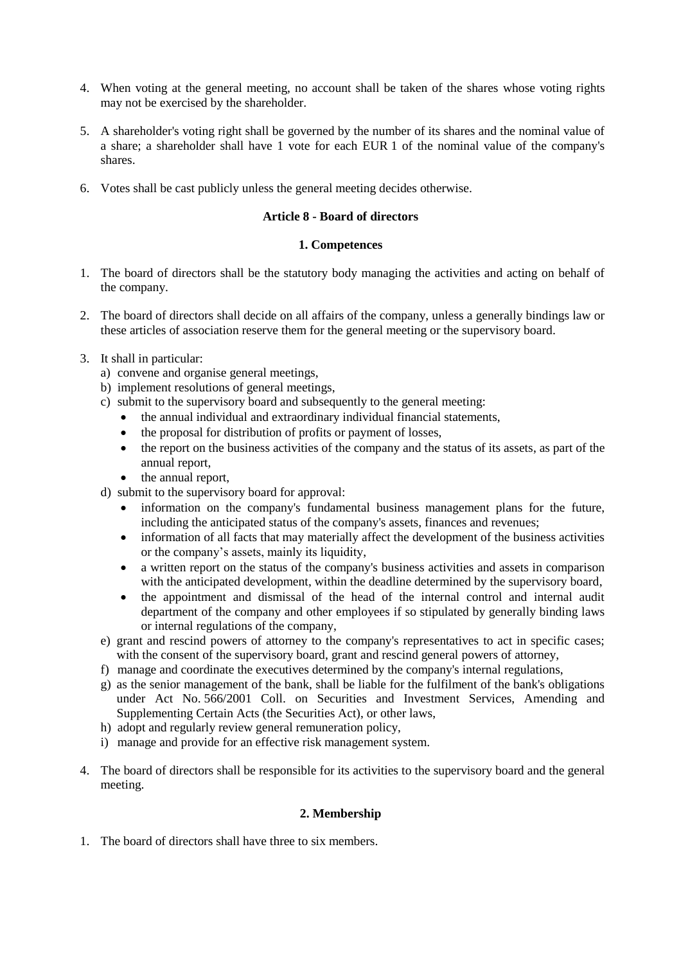- 4. When voting at the general meeting, no account shall be taken of the shares whose voting rights may not be exercised by the shareholder.
- 5. A shareholder's voting right shall be governed by the number of its shares and the nominal value of a share; a shareholder shall have 1 vote for each EUR 1 of the nominal value of the company's shares.
- 6. Votes shall be cast publicly unless the general meeting decides otherwise.

## **Article 8 - Board of directors**

## **1. Competences**

- 1. The board of directors shall be the statutory body managing the activities and acting on behalf of the company.
- 2. The board of directors shall decide on all affairs of the company, unless a generally bindings law or these articles of association reserve them for the general meeting or the supervisory board.
- 3. It shall in particular:
	- a) convene and organise general meetings,
	- b) implement resolutions of general meetings,
	- c) submit to the supervisory board and subsequently to the general meeting:
		- the annual individual and extraordinary individual financial statements,
		- the proposal for distribution of profits or payment of losses,
		- the report on the business activities of the company and the status of its assets, as part of the annual report,
		- the annual report,
	- d) submit to the supervisory board for approval:
		- information on the company's fundamental business management plans for the future, including the anticipated status of the company's assets, finances and revenues;
		- information of all facts that may materially affect the development of the business activities or the company's assets, mainly its liquidity,
		- a written report on the status of the company's business activities and assets in comparison with the anticipated development, within the deadline determined by the supervisory board,
		- the appointment and dismissal of the head of the internal control and internal audit department of the company and other employees if so stipulated by generally binding laws or internal regulations of the company,
	- e) grant and rescind powers of attorney to the company's representatives to act in specific cases; with the consent of the supervisory board, grant and rescind general powers of attorney,
	- f) manage and coordinate the executives determined by the company's internal regulations,
	- g) as the senior management of the bank, shall be liable for the fulfilment of the bank's obligations under Act No. 566/2001 Coll. on Securities and Investment Services, Amending and Supplementing Certain Acts (the Securities Act), or other laws,
	- h) adopt and regularly review general remuneration policy,
	- i) manage and provide for an effective risk management system.
- 4. The board of directors shall be responsible for its activities to the supervisory board and the general meeting.

#### **2. Membership**

1. The board of directors shall have three to six members.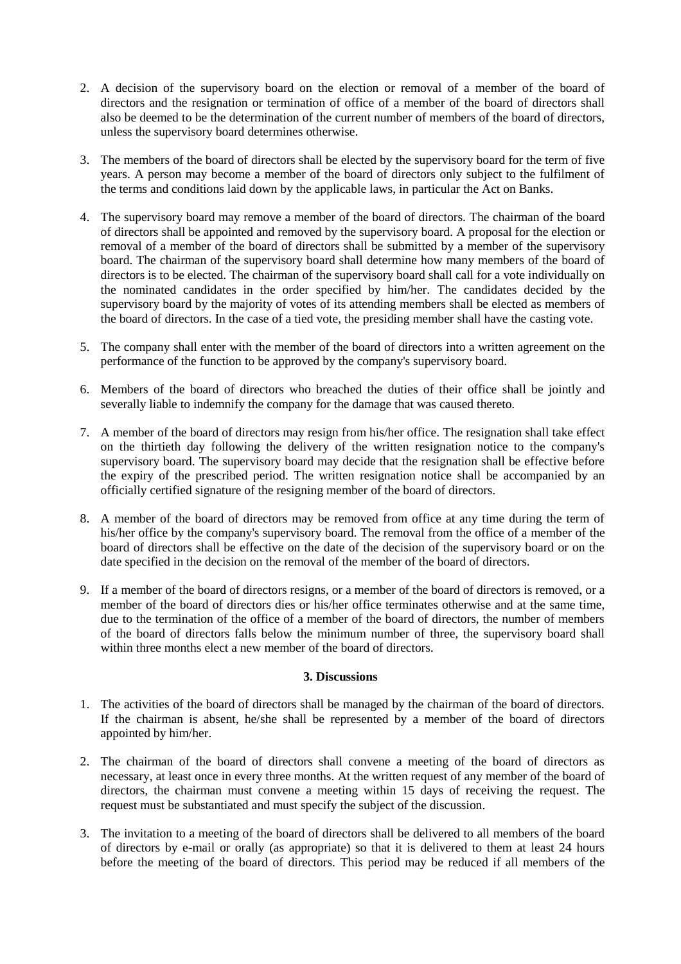- 2. A decision of the supervisory board on the election or removal of a member of the board of directors and the resignation or termination of office of a member of the board of directors shall also be deemed to be the determination of the current number of members of the board of directors, unless the supervisory board determines otherwise.
- 3. The members of the board of directors shall be elected by the supervisory board for the term of five years. A person may become a member of the board of directors only subject to the fulfilment of the terms and conditions laid down by the applicable laws, in particular the Act on Banks.
- 4. The supervisory board may remove a member of the board of directors. The chairman of the board of directors shall be appointed and removed by the supervisory board. A proposal for the election or removal of a member of the board of directors shall be submitted by a member of the supervisory board. The chairman of the supervisory board shall determine how many members of the board of directors is to be elected. The chairman of the supervisory board shall call for a vote individually on the nominated candidates in the order specified by him/her. The candidates decided by the supervisory board by the majority of votes of its attending members shall be elected as members of the board of directors. In the case of a tied vote, the presiding member shall have the casting vote.
- 5. The company shall enter with the member of the board of directors into a written agreement on the performance of the function to be approved by the company's supervisory board.
- 6. Members of the board of directors who breached the duties of their office shall be jointly and severally liable to indemnify the company for the damage that was caused thereto.
- 7. A member of the board of directors may resign from his/her office. The resignation shall take effect on the thirtieth day following the delivery of the written resignation notice to the company's supervisory board. The supervisory board may decide that the resignation shall be effective before the expiry of the prescribed period. The written resignation notice shall be accompanied by an officially certified signature of the resigning member of the board of directors.
- 8. A member of the board of directors may be removed from office at any time during the term of his/her office by the company's supervisory board. The removal from the office of a member of the board of directors shall be effective on the date of the decision of the supervisory board or on the date specified in the decision on the removal of the member of the board of directors.
- 9. If a member of the board of directors resigns, or a member of the board of directors is removed, or a member of the board of directors dies or his/her office terminates otherwise and at the same time, due to the termination of the office of a member of the board of directors, the number of members of the board of directors falls below the minimum number of three, the supervisory board shall within three months elect a new member of the board of directors.

#### **3. Discussions**

- 1. The activities of the board of directors shall be managed by the chairman of the board of directors. If the chairman is absent, he/she shall be represented by a member of the board of directors appointed by him/her.
- 2. The chairman of the board of directors shall convene a meeting of the board of directors as necessary, at least once in every three months. At the written request of any member of the board of directors, the chairman must convene a meeting within 15 days of receiving the request. The request must be substantiated and must specify the subject of the discussion.
- 3. The invitation to a meeting of the board of directors shall be delivered to all members of the board of directors by e-mail or orally (as appropriate) so that it is delivered to them at least 24 hours before the meeting of the board of directors. This period may be reduced if all members of the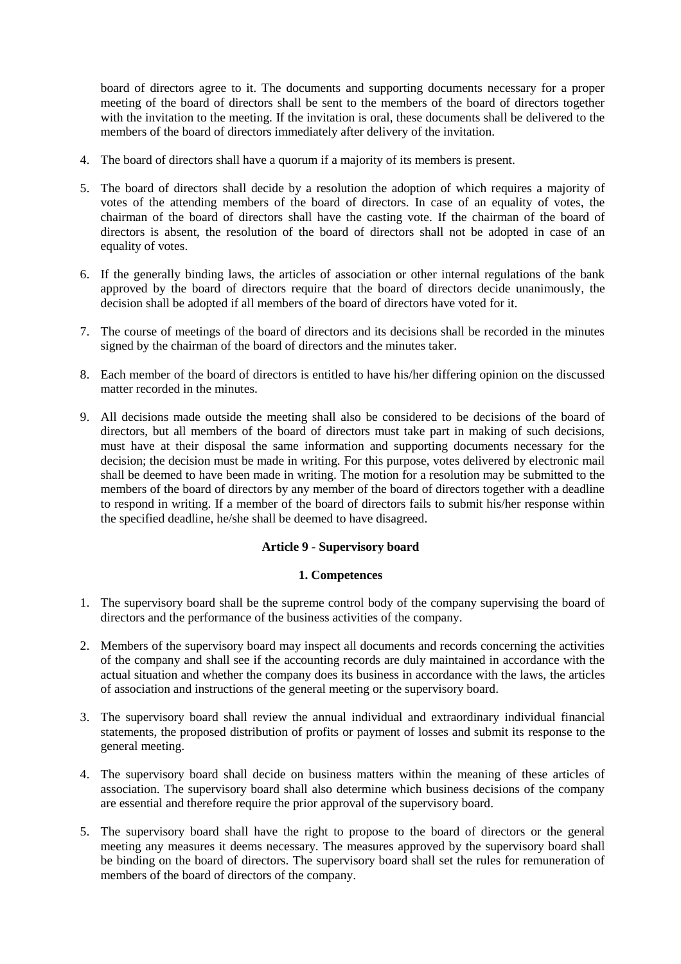board of directors agree to it. The documents and supporting documents necessary for a proper meeting of the board of directors shall be sent to the members of the board of directors together with the invitation to the meeting. If the invitation is oral, these documents shall be delivered to the members of the board of directors immediately after delivery of the invitation.

- 4. The board of directors shall have a quorum if a majority of its members is present.
- 5. The board of directors shall decide by a resolution the adoption of which requires a majority of votes of the attending members of the board of directors. In case of an equality of votes, the chairman of the board of directors shall have the casting vote. If the chairman of the board of directors is absent, the resolution of the board of directors shall not be adopted in case of an equality of votes.
- 6. If the generally binding laws, the articles of association or other internal regulations of the bank approved by the board of directors require that the board of directors decide unanimously, the decision shall be adopted if all members of the board of directors have voted for it.
- 7. The course of meetings of the board of directors and its decisions shall be recorded in the minutes signed by the chairman of the board of directors and the minutes taker.
- 8. Each member of the board of directors is entitled to have his/her differing opinion on the discussed matter recorded in the minutes.
- 9. All decisions made outside the meeting shall also be considered to be decisions of the board of directors, but all members of the board of directors must take part in making of such decisions, must have at their disposal the same information and supporting documents necessary for the decision; the decision must be made in writing. For this purpose, votes delivered by electronic mail shall be deemed to have been made in writing. The motion for a resolution may be submitted to the members of the board of directors by any member of the board of directors together with a deadline to respond in writing. If a member of the board of directors fails to submit his/her response within the specified deadline, he/she shall be deemed to have disagreed.

#### **Article 9 - Supervisory board**

#### **1. Competences**

- 1. The supervisory board shall be the supreme control body of the company supervising the board of directors and the performance of the business activities of the company.
- 2. Members of the supervisory board may inspect all documents and records concerning the activities of the company and shall see if the accounting records are duly maintained in accordance with the actual situation and whether the company does its business in accordance with the laws, the articles of association and instructions of the general meeting or the supervisory board.
- 3. The supervisory board shall review the annual individual and extraordinary individual financial statements, the proposed distribution of profits or payment of losses and submit its response to the general meeting.
- 4. The supervisory board shall decide on business matters within the meaning of these articles of association. The supervisory board shall also determine which business decisions of the company are essential and therefore require the prior approval of the supervisory board.
- 5. The supervisory board shall have the right to propose to the board of directors or the general meeting any measures it deems necessary. The measures approved by the supervisory board shall be binding on the board of directors. The supervisory board shall set the rules for remuneration of members of the board of directors of the company.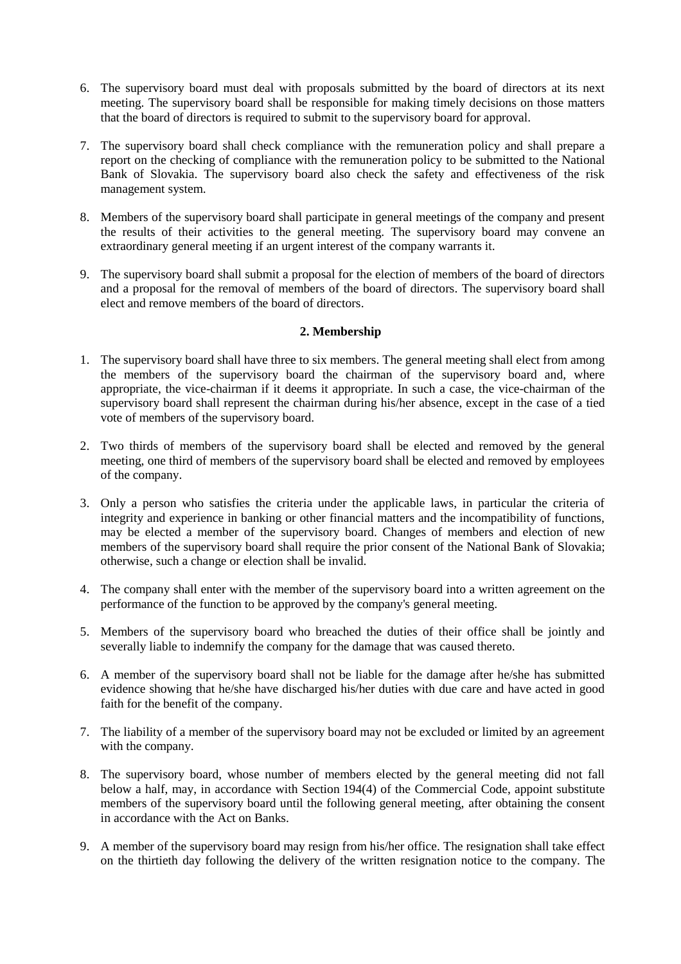- 6. The supervisory board must deal with proposals submitted by the board of directors at its next meeting. The supervisory board shall be responsible for making timely decisions on those matters that the board of directors is required to submit to the supervisory board for approval.
- 7. The supervisory board shall check compliance with the remuneration policy and shall prepare a report on the checking of compliance with the remuneration policy to be submitted to the National Bank of Slovakia. The supervisory board also check the safety and effectiveness of the risk management system.
- 8. Members of the supervisory board shall participate in general meetings of the company and present the results of their activities to the general meeting. The supervisory board may convene an extraordinary general meeting if an urgent interest of the company warrants it.
- 9. The supervisory board shall submit a proposal for the election of members of the board of directors and a proposal for the removal of members of the board of directors. The supervisory board shall elect and remove members of the board of directors.

## **2. Membership**

- 1. The supervisory board shall have three to six members. The general meeting shall elect from among the members of the supervisory board the chairman of the supervisory board and, where appropriate, the vice-chairman if it deems it appropriate. In such a case, the vice-chairman of the supervisory board shall represent the chairman during his/her absence, except in the case of a tied vote of members of the supervisory board.
- 2. Two thirds of members of the supervisory board shall be elected and removed by the general meeting, one third of members of the supervisory board shall be elected and removed by employees of the company.
- 3. Only a person who satisfies the criteria under the applicable laws, in particular the criteria of integrity and experience in banking or other financial matters and the incompatibility of functions, may be elected a member of the supervisory board. Changes of members and election of new members of the supervisory board shall require the prior consent of the National Bank of Slovakia; otherwise, such a change or election shall be invalid.
- 4. The company shall enter with the member of the supervisory board into a written agreement on the performance of the function to be approved by the company's general meeting.
- 5. Members of the supervisory board who breached the duties of their office shall be jointly and severally liable to indemnify the company for the damage that was caused thereto.
- 6. A member of the supervisory board shall not be liable for the damage after he/she has submitted evidence showing that he/she have discharged his/her duties with due care and have acted in good faith for the benefit of the company.
- 7. The liability of a member of the supervisory board may not be excluded or limited by an agreement with the company.
- 8. The supervisory board, whose number of members elected by the general meeting did not fall below a half, may, in accordance with Section 194(4) of the Commercial Code, appoint substitute members of the supervisory board until the following general meeting, after obtaining the consent in accordance with the Act on Banks.
- 9. A member of the supervisory board may resign from his/her office. The resignation shall take effect on the thirtieth day following the delivery of the written resignation notice to the company. The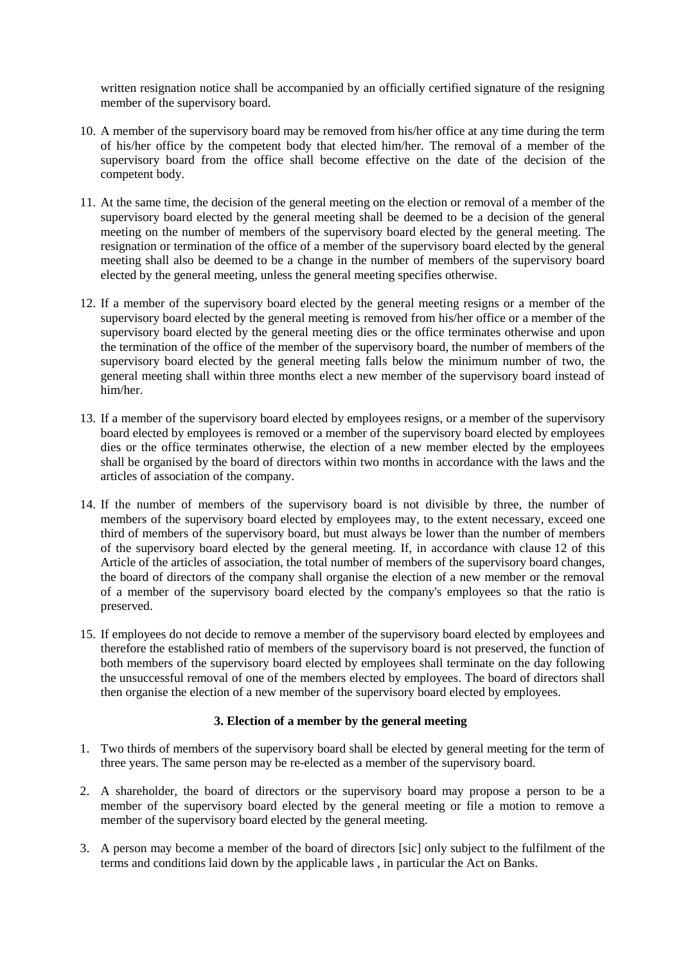written resignation notice shall be accompanied by an officially certified signature of the resigning member of the supervisory board.

- 10. A member of the supervisory board may be removed from his/her office at any time during the term of his/her office by the competent body that elected him/her. The removal of a member of the supervisory board from the office shall become effective on the date of the decision of the competent body.
- 11. At the same time, the decision of the general meeting on the election or removal of a member of the supervisory board elected by the general meeting shall be deemed to be a decision of the general meeting on the number of members of the supervisory board elected by the general meeting. The resignation or termination of the office of a member of the supervisory board elected by the general meeting shall also be deemed to be a change in the number of members of the supervisory board elected by the general meeting, unless the general meeting specifies otherwise.
- 12. If a member of the supervisory board elected by the general meeting resigns or a member of the supervisory board elected by the general meeting is removed from his/her office or a member of the supervisory board elected by the general meeting dies or the office terminates otherwise and upon the termination of the office of the member of the supervisory board, the number of members of the supervisory board elected by the general meeting falls below the minimum number of two, the general meeting shall within three months elect a new member of the supervisory board instead of him/her.
- 13. If a member of the supervisory board elected by employees resigns, or a member of the supervisory board elected by employees is removed or a member of the supervisory board elected by employees dies or the office terminates otherwise, the election of a new member elected by the employees shall be organised by the board of directors within two months in accordance with the laws and the articles of association of the company.
- 14. If the number of members of the supervisory board is not divisible by three, the number of members of the supervisory board elected by employees may, to the extent necessary, exceed one third of members of the supervisory board, but must always be lower than the number of members of the supervisory board elected by the general meeting. If, in accordance with clause 12 of this Article of the articles of association, the total number of members of the supervisory board changes, the board of directors of the company shall organise the election of a new member or the removal of a member of the supervisory board elected by the company's employees so that the ratio is preserved.
- 15. If employees do not decide to remove a member of the supervisory board elected by employees and therefore the established ratio of members of the supervisory board is not preserved, the function of both members of the supervisory board elected by employees shall terminate on the day following the unsuccessful removal of one of the members elected by employees. The board of directors shall then organise the election of a new member of the supervisory board elected by employees.

#### **3. Election of a member by the general meeting**

- 1. Two thirds of members of the supervisory board shall be elected by general meeting for the term of three years. The same person may be re-elected as a member of the supervisory board.
- 2. A shareholder, the board of directors or the supervisory board may propose a person to be a member of the supervisory board elected by the general meeting or file a motion to remove a member of the supervisory board elected by the general meeting.
- 3. A person may become a member of the board of directors [sic] only subject to the fulfilment of the terms and conditions laid down by the applicable laws , in particular the Act on Banks.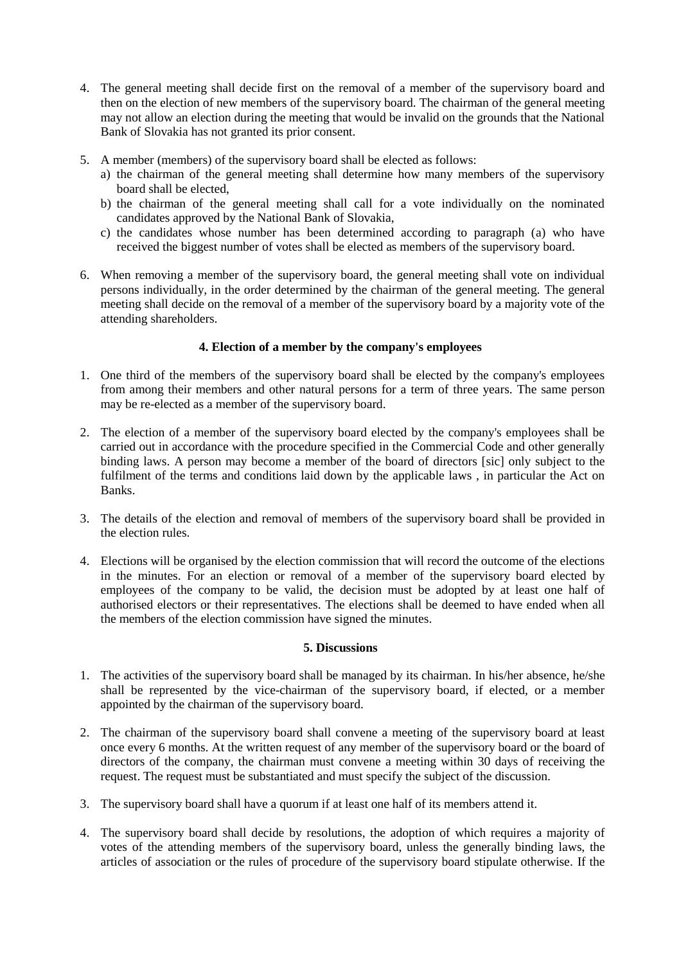- 4. The general meeting shall decide first on the removal of a member of the supervisory board and then on the election of new members of the supervisory board. The chairman of the general meeting may not allow an election during the meeting that would be invalid on the grounds that the National Bank of Slovakia has not granted its prior consent.
- 5. A member (members) of the supervisory board shall be elected as follows:
	- a) the chairman of the general meeting shall determine how many members of the supervisory board shall be elected,
	- b) the chairman of the general meeting shall call for a vote individually on the nominated candidates approved by the National Bank of Slovakia,
	- c) the candidates whose number has been determined according to paragraph (a) who have received the biggest number of votes shall be elected as members of the supervisory board.
- 6. When removing a member of the supervisory board, the general meeting shall vote on individual persons individually, in the order determined by the chairman of the general meeting. The general meeting shall decide on the removal of a member of the supervisory board by a majority vote of the attending shareholders.

## **4. Election of a member by the company's employees**

- 1. One third of the members of the supervisory board shall be elected by the company's employees from among their members and other natural persons for a term of three years. The same person may be re-elected as a member of the supervisory board.
- 2. The election of a member of the supervisory board elected by the company's employees shall be carried out in accordance with the procedure specified in the Commercial Code and other generally binding laws. A person may become a member of the board of directors [sic] only subject to the fulfilment of the terms and conditions laid down by the applicable laws , in particular the Act on Banks.
- 3. The details of the election and removal of members of the supervisory board shall be provided in the election rules.
- 4. Elections will be organised by the election commission that will record the outcome of the elections in the minutes. For an election or removal of a member of the supervisory board elected by employees of the company to be valid, the decision must be adopted by at least one half of authorised electors or their representatives. The elections shall be deemed to have ended when all the members of the election commission have signed the minutes.

#### **5. Discussions**

- 1. The activities of the supervisory board shall be managed by its chairman. In his/her absence, he/she shall be represented by the vice-chairman of the supervisory board, if elected, or a member appointed by the chairman of the supervisory board.
- 2. The chairman of the supervisory board shall convene a meeting of the supervisory board at least once every 6 months. At the written request of any member of the supervisory board or the board of directors of the company, the chairman must convene a meeting within 30 days of receiving the request. The request must be substantiated and must specify the subject of the discussion.
- 3. The supervisory board shall have a quorum if at least one half of its members attend it.
- 4. The supervisory board shall decide by resolutions, the adoption of which requires a majority of votes of the attending members of the supervisory board, unless the generally binding laws, the articles of association or the rules of procedure of the supervisory board stipulate otherwise. If the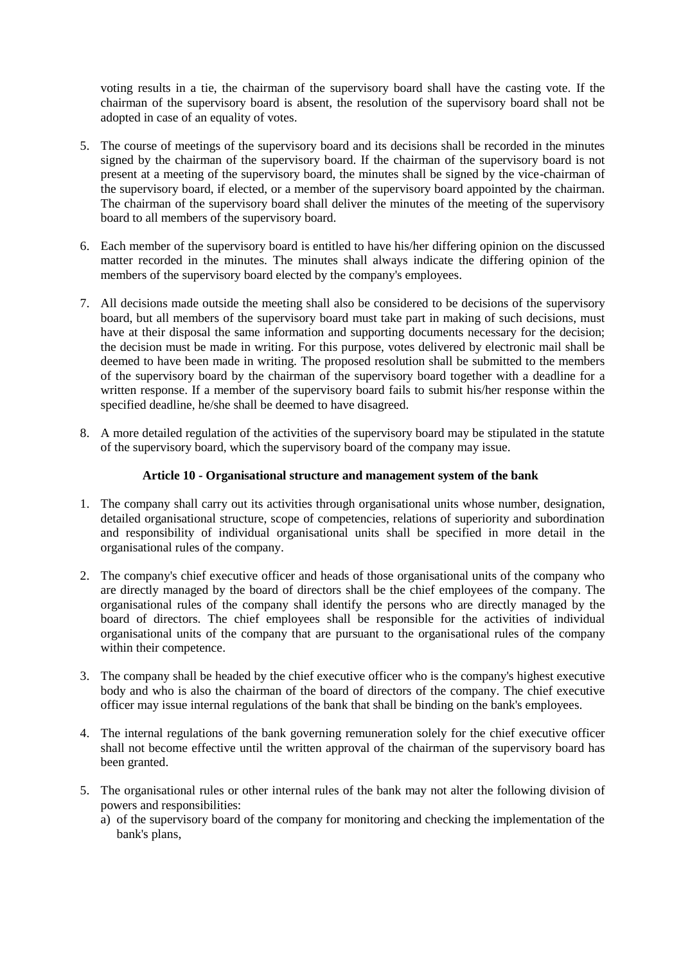voting results in a tie, the chairman of the supervisory board shall have the casting vote. If the chairman of the supervisory board is absent, the resolution of the supervisory board shall not be adopted in case of an equality of votes.

- 5. The course of meetings of the supervisory board and its decisions shall be recorded in the minutes signed by the chairman of the supervisory board. If the chairman of the supervisory board is not present at a meeting of the supervisory board, the minutes shall be signed by the vice-chairman of the supervisory board, if elected, or a member of the supervisory board appointed by the chairman. The chairman of the supervisory board shall deliver the minutes of the meeting of the supervisory board to all members of the supervisory board.
- 6. Each member of the supervisory board is entitled to have his/her differing opinion on the discussed matter recorded in the minutes. The minutes shall always indicate the differing opinion of the members of the supervisory board elected by the company's employees.
- 7. All decisions made outside the meeting shall also be considered to be decisions of the supervisory board, but all members of the supervisory board must take part in making of such decisions, must have at their disposal the same information and supporting documents necessary for the decision; the decision must be made in writing. For this purpose, votes delivered by electronic mail shall be deemed to have been made in writing. The proposed resolution shall be submitted to the members of the supervisory board by the chairman of the supervisory board together with a deadline for a written response. If a member of the supervisory board fails to submit his/her response within the specified deadline, he/she shall be deemed to have disagreed.
- 8. A more detailed regulation of the activities of the supervisory board may be stipulated in the statute of the supervisory board, which the supervisory board of the company may issue.

## **Article 10 - Organisational structure and management system of the bank**

- 1. The company shall carry out its activities through organisational units whose number, designation, detailed organisational structure, scope of competencies, relations of superiority and subordination and responsibility of individual organisational units shall be specified in more detail in the organisational rules of the company.
- 2. The company's chief executive officer and heads of those organisational units of the company who are directly managed by the board of directors shall be the chief employees of the company. The organisational rules of the company shall identify the persons who are directly managed by the board of directors. The chief employees shall be responsible for the activities of individual organisational units of the company that are pursuant to the organisational rules of the company within their competence.
- 3. The company shall be headed by the chief executive officer who is the company's highest executive body and who is also the chairman of the board of directors of the company. The chief executive officer may issue internal regulations of the bank that shall be binding on the bank's employees.
- 4. The internal regulations of the bank governing remuneration solely for the chief executive officer shall not become effective until the written approval of the chairman of the supervisory board has been granted.
- 5. The organisational rules or other internal rules of the bank may not alter the following division of powers and responsibilities:
	- a) of the supervisory board of the company for monitoring and checking the implementation of the bank's plans,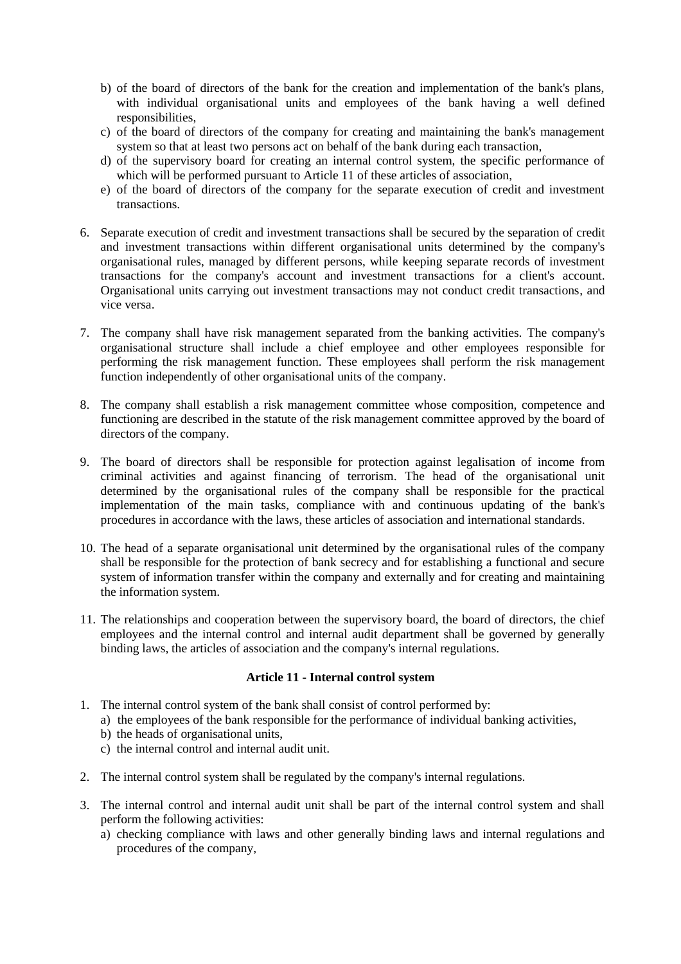- b) of the board of directors of the bank for the creation and implementation of the bank's plans, with individual organisational units and employees of the bank having a well defined responsibilities,
- c) of the board of directors of the company for creating and maintaining the bank's management system so that at least two persons act on behalf of the bank during each transaction,
- d) of the supervisory board for creating an internal control system, the specific performance of which will be performed pursuant to Article 11 of these articles of association,
- e) of the board of directors of the company for the separate execution of credit and investment transactions.
- 6. Separate execution of credit and investment transactions shall be secured by the separation of credit and investment transactions within different organisational units determined by the company's organisational rules, managed by different persons, while keeping separate records of investment transactions for the company's account and investment transactions for a client's account. Organisational units carrying out investment transactions may not conduct credit transactions, and vice versa.
- 7. The company shall have risk management separated from the banking activities. The company's organisational structure shall include a chief employee and other employees responsible for performing the risk management function. These employees shall perform the risk management function independently of other organisational units of the company.
- 8. The company shall establish a risk management committee whose composition, competence and functioning are described in the statute of the risk management committee approved by the board of directors of the company.
- 9. The board of directors shall be responsible for protection against legalisation of income from criminal activities and against financing of terrorism. The head of the organisational unit determined by the organisational rules of the company shall be responsible for the practical implementation of the main tasks, compliance with and continuous updating of the bank's procedures in accordance with the laws, these articles of association and international standards.
- 10. The head of a separate organisational unit determined by the organisational rules of the company shall be responsible for the protection of bank secrecy and for establishing a functional and secure system of information transfer within the company and externally and for creating and maintaining the information system.
- 11. The relationships and cooperation between the supervisory board, the board of directors, the chief employees and the internal control and internal audit department shall be governed by generally binding laws, the articles of association and the company's internal regulations.

#### **Article 11 - Internal control system**

- 1. The internal control system of the bank shall consist of control performed by:
	- a) the employees of the bank responsible for the performance of individual banking activities,
	- b) the heads of organisational units,
	- c) the internal control and internal audit unit.
- 2. The internal control system shall be regulated by the company's internal regulations.
- 3. The internal control and internal audit unit shall be part of the internal control system and shall perform the following activities:
	- a) checking compliance with laws and other generally binding laws and internal regulations and procedures of the company,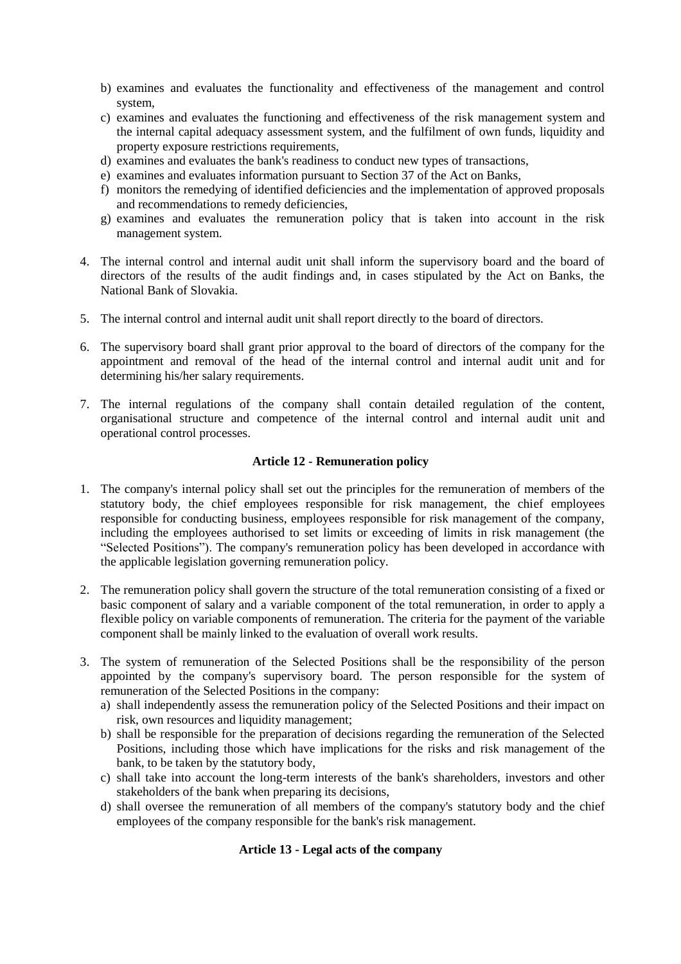- b) examines and evaluates the functionality and effectiveness of the management and control system,
- c) examines and evaluates the functioning and effectiveness of the risk management system and the internal capital adequacy assessment system, and the fulfilment of own funds, liquidity and property exposure restrictions requirements,
- d) examines and evaluates the bank's readiness to conduct new types of transactions,
- e) examines and evaluates information pursuant to Section 37 of the Act on Banks,
- f) monitors the remedying of identified deficiencies and the implementation of approved proposals and recommendations to remedy deficiencies,
- g) examines and evaluates the remuneration policy that is taken into account in the risk management system.
- 4. The internal control and internal audit unit shall inform the supervisory board and the board of directors of the results of the audit findings and, in cases stipulated by the Act on Banks, the National Bank of Slovakia.
- 5. The internal control and internal audit unit shall report directly to the board of directors.
- 6. The supervisory board shall grant prior approval to the board of directors of the company for the appointment and removal of the head of the internal control and internal audit unit and for determining his/her salary requirements.
- 7. The internal regulations of the company shall contain detailed regulation of the content, organisational structure and competence of the internal control and internal audit unit and operational control processes.

## **Article 12 - Remuneration policy**

- 1. The company's internal policy shall set out the principles for the remuneration of members of the statutory body, the chief employees responsible for risk management, the chief employees responsible for conducting business, employees responsible for risk management of the company, including the employees authorised to set limits or exceeding of limits in risk management (the "Selected Positions"). The company's remuneration policy has been developed in accordance with the applicable legislation governing remuneration policy.
- 2. The remuneration policy shall govern the structure of the total remuneration consisting of a fixed or basic component of salary and a variable component of the total remuneration, in order to apply a flexible policy on variable components of remuneration. The criteria for the payment of the variable component shall be mainly linked to the evaluation of overall work results.
- 3. The system of remuneration of the Selected Positions shall be the responsibility of the person appointed by the company's supervisory board. The person responsible for the system of remuneration of the Selected Positions in the company:
	- a) shall independently assess the remuneration policy of the Selected Positions and their impact on risk, own resources and liquidity management;
	- b) shall be responsible for the preparation of decisions regarding the remuneration of the Selected Positions, including those which have implications for the risks and risk management of the bank, to be taken by the statutory body,
	- c) shall take into account the long-term interests of the bank's shareholders, investors and other stakeholders of the bank when preparing its decisions,
	- d) shall oversee the remuneration of all members of the company's statutory body and the chief employees of the company responsible for the bank's risk management.

# **Article 13 - Legal acts of the company**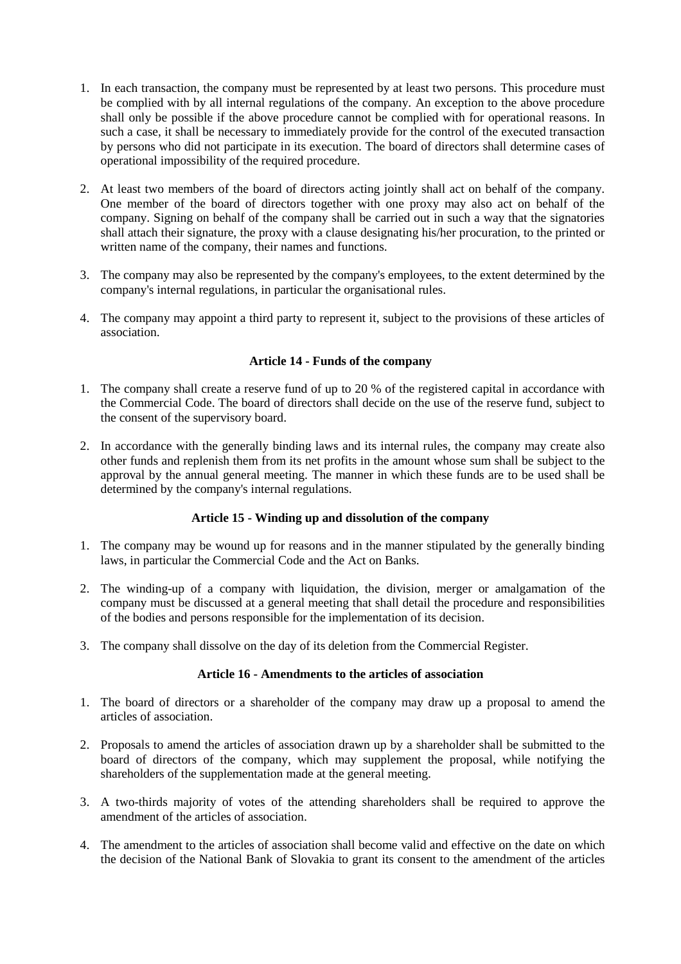- 1. In each transaction, the company must be represented by at least two persons. This procedure must be complied with by all internal regulations of the company. An exception to the above procedure shall only be possible if the above procedure cannot be complied with for operational reasons. In such a case, it shall be necessary to immediately provide for the control of the executed transaction by persons who did not participate in its execution. The board of directors shall determine cases of operational impossibility of the required procedure.
- 2. At least two members of the board of directors acting jointly shall act on behalf of the company. One member of the board of directors together with one proxy may also act on behalf of the company. Signing on behalf of the company shall be carried out in such a way that the signatories shall attach their signature, the proxy with a clause designating his/her procuration, to the printed or written name of the company, their names and functions.
- 3. The company may also be represented by the company's employees, to the extent determined by the company's internal regulations, in particular the organisational rules.
- 4. The company may appoint a third party to represent it, subject to the provisions of these articles of association.

## **Article 14 - Funds of the company**

- 1. The company shall create a reserve fund of up to 20 % of the registered capital in accordance with the Commercial Code. The board of directors shall decide on the use of the reserve fund, subject to the consent of the supervisory board.
- 2. In accordance with the generally binding laws and its internal rules, the company may create also other funds and replenish them from its net profits in the amount whose sum shall be subject to the approval by the annual general meeting. The manner in which these funds are to be used shall be determined by the company's internal regulations.

#### **Article 15 - Winding up and dissolution of the company**

- 1. The company may be wound up for reasons and in the manner stipulated by the generally binding laws, in particular the Commercial Code and the Act on Banks.
- 2. The winding-up of a company with liquidation, the division, merger or amalgamation of the company must be discussed at a general meeting that shall detail the procedure and responsibilities of the bodies and persons responsible for the implementation of its decision.
- 3. The company shall dissolve on the day of its deletion from the Commercial Register.

#### **Article 16 - Amendments to the articles of association**

- 1. The board of directors or a shareholder of the company may draw up a proposal to amend the articles of association.
- 2. Proposals to amend the articles of association drawn up by a shareholder shall be submitted to the board of directors of the company, which may supplement the proposal, while notifying the shareholders of the supplementation made at the general meeting.
- 3. A two-thirds majority of votes of the attending shareholders shall be required to approve the amendment of the articles of association.
- 4. The amendment to the articles of association shall become valid and effective on the date on which the decision of the National Bank of Slovakia to grant its consent to the amendment of the articles